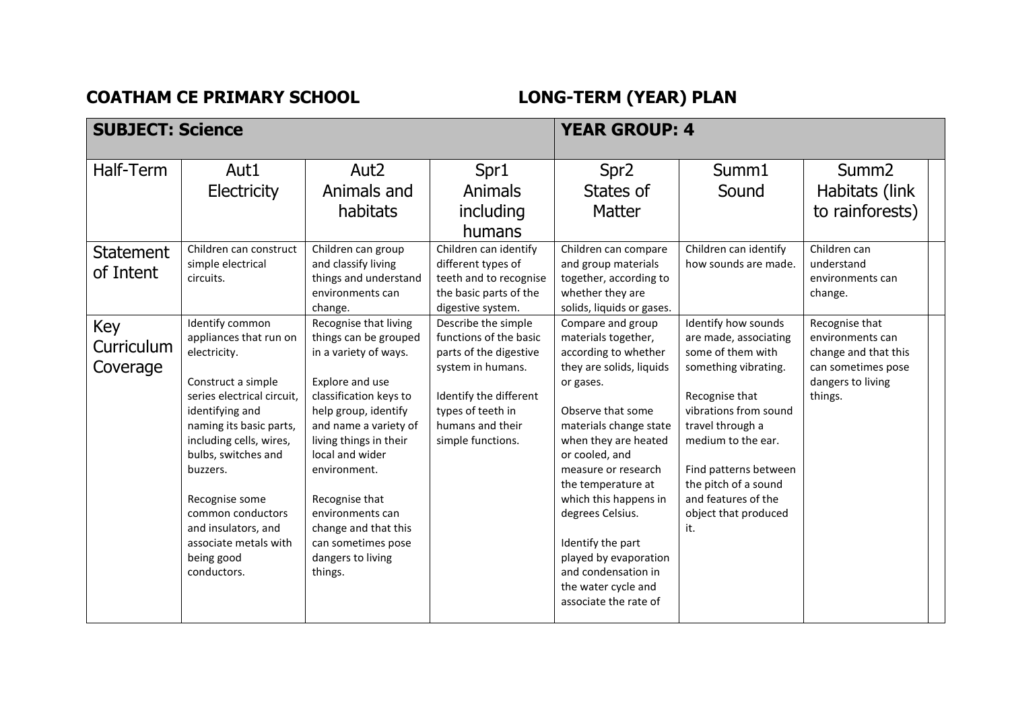## **COATHAM CE PRIMARY SCHOOL LONG-TERM (YEAR) PLAN**

| <b>SUBJECT: Science</b>       |                                                                                                                                                                                                                                                                                                                                               |                                                                                                                                                                                                                                                                                                                                                        | <b>YEAR GROUP: 4</b>                                                                                                                                                                 |                                                                                                                                                                                                                                                                                                                                                                                                                   |                                                                                                                                                                                                                                                                                       |                                                                                                                  |
|-------------------------------|-----------------------------------------------------------------------------------------------------------------------------------------------------------------------------------------------------------------------------------------------------------------------------------------------------------------------------------------------|--------------------------------------------------------------------------------------------------------------------------------------------------------------------------------------------------------------------------------------------------------------------------------------------------------------------------------------------------------|--------------------------------------------------------------------------------------------------------------------------------------------------------------------------------------|-------------------------------------------------------------------------------------------------------------------------------------------------------------------------------------------------------------------------------------------------------------------------------------------------------------------------------------------------------------------------------------------------------------------|---------------------------------------------------------------------------------------------------------------------------------------------------------------------------------------------------------------------------------------------------------------------------------------|------------------------------------------------------------------------------------------------------------------|
| Half-Term                     | Aut1<br>Electricity                                                                                                                                                                                                                                                                                                                           | Aut <sub>2</sub><br>Animals and<br>habitats                                                                                                                                                                                                                                                                                                            | Spr1<br><b>Animals</b><br>including<br>humans                                                                                                                                        | Spr <sub>2</sub><br>States of<br><b>Matter</b>                                                                                                                                                                                                                                                                                                                                                                    | Summ1<br>Sound                                                                                                                                                                                                                                                                        | Summ <sub>2</sub><br>Habitats (link<br>to rainforests)                                                           |
| <b>Statement</b><br>of Intent | Children can construct<br>simple electrical<br>circuits.                                                                                                                                                                                                                                                                                      | Children can group<br>and classify living<br>things and understand<br>environments can<br>change.                                                                                                                                                                                                                                                      | Children can identify<br>different types of<br>teeth and to recognise<br>the basic parts of the<br>digestive system.                                                                 | Children can compare<br>and group materials<br>together, according to<br>whether they are<br>solids, liquids or gases.                                                                                                                                                                                                                                                                                            | Children can identify<br>how sounds are made.                                                                                                                                                                                                                                         | Children can<br>understand<br>environments can<br>change.                                                        |
| Key<br>Curriculum<br>Coverage | Identify common<br>appliances that run on<br>electricity.<br>Construct a simple<br>series electrical circuit,<br>identifying and<br>naming its basic parts,<br>including cells, wires,<br>bulbs, switches and<br>buzzers.<br>Recognise some<br>common conductors<br>and insulators, and<br>associate metals with<br>being good<br>conductors. | Recognise that living<br>things can be grouped<br>in a variety of ways.<br>Explore and use<br>classification keys to<br>help group, identify<br>and name a variety of<br>living things in their<br>local and wider<br>environment.<br>Recognise that<br>environments can<br>change and that this<br>can sometimes pose<br>dangers to living<br>things. | Describe the simple<br>functions of the basic<br>parts of the digestive<br>system in humans.<br>Identify the different<br>types of teeth in<br>humans and their<br>simple functions. | Compare and group<br>materials together,<br>according to whether<br>they are solids, liquids<br>or gases.<br>Observe that some<br>materials change state<br>when they are heated<br>or cooled, and<br>measure or research<br>the temperature at<br>which this happens in<br>degrees Celsius.<br>Identify the part<br>played by evaporation<br>and condensation in<br>the water cycle and<br>associate the rate of | Identify how sounds<br>are made, associating<br>some of them with<br>something vibrating.<br>Recognise that<br>vibrations from sound<br>travel through a<br>medium to the ear.<br>Find patterns between<br>the pitch of a sound<br>and features of the<br>object that produced<br>it. | Recognise that<br>environments can<br>change and that this<br>can sometimes pose<br>dangers to living<br>things. |